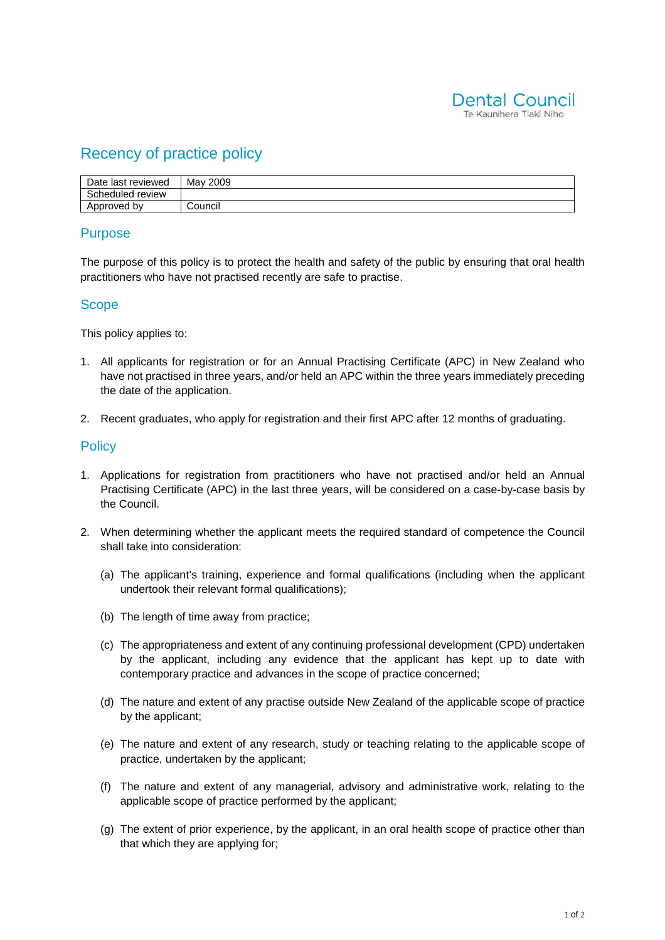

# Recency of practice policy

| Date last reviewed | May 2009 |
|--------------------|----------|
| Scheduled review   |          |
| Approved by        | Council  |

## **Purpose**

The purpose of this policy is to protect the health and safety of the public by ensuring that oral health practitioners who have not practised recently are safe to practise.

### **Scope**

This policy applies to:

- 1. All applicants for registration or for an Annual Practising Certificate (APC) in New Zealand who have not practised in three years, and/or held an APC within the three years immediately preceding the date of the application.
- 2. Recent graduates, who apply for registration and their first APC after 12 months of graduating.

### **Policy**

- 1. Applications for registration from practitioners who have not practised and/or held an Annual Practising Certificate (APC) in the last three years, will be considered on a case-by-case basis by the Council.
- 2. When determining whether the applicant meets the required standard of competence the Council shall take into consideration:
	- (a) The applicant's training, experience and formal qualifications (including when the applicant undertook their relevant formal qualifications);
	- (b) The length of time away from practice;
	- (c) The appropriateness and extent of any continuing professional development (CPD) undertaken by the applicant, including any evidence that the applicant has kept up to date with contemporary practice and advances in the scope of practice concerned;
	- (d) The nature and extent of any practise outside New Zealand of the applicable scope of practice by the applicant;
	- (e) The nature and extent of any research, study or teaching relating to the applicable scope of practice, undertaken by the applicant;
	- (f) The nature and extent of any managerial, advisory and administrative work, relating to the applicable scope of practice performed by the applicant;
	- (g) The extent of prior experience, by the applicant, in an oral health scope of practice other than that which they are applying for;